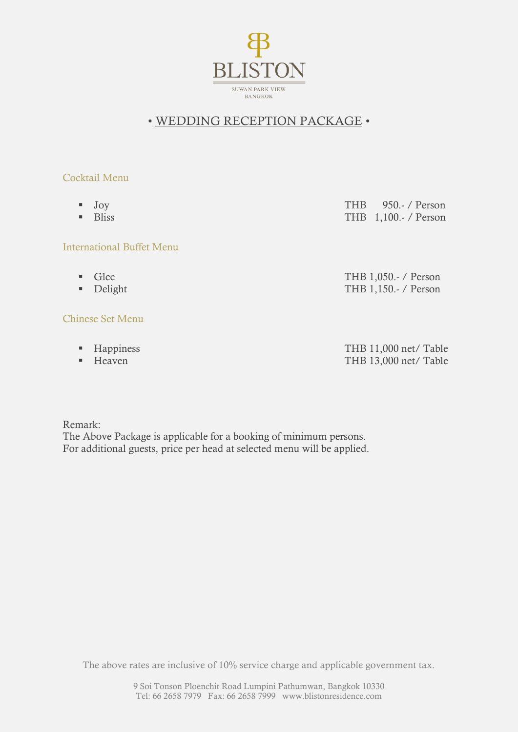

## • WEDDING RECEPTION PACKAGE •

- 
- 

### International Buffet Menu

- 
- 

### Chinese Set Menu

- 
- 

 Joy THB 950.- / Person Bliss THB 1,100.- / Person

Glee THB 1,050.- / Person ■ Delight THB 1,150.- / Person

Happiness THB 11,000 net/ Table ■ Heaven THB 13,000 net/ Table

Remark: The Above Package is applicable for a booking of minimum persons. For additional guests, price per head at selected menu will be applied.

The above rates are inclusive of 10% service charge and applicable government tax.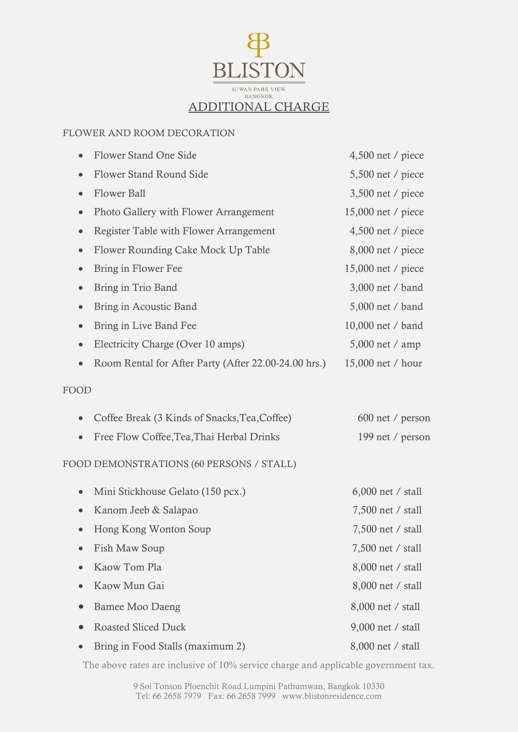

#### FLOWER AND ROOM DECORATION

| Flower Stand One Side                                | $4,500$ net / piece |  |
|------------------------------------------------------|---------------------|--|
| Flower Stand Round Side<br>$\bullet$                 | $5,500$ net / piece |  |
| <b>Flower Ball</b><br>$\bullet$                      | 3,500 net / piece   |  |
| Photo Gallery with Flower Arrangement<br>$\bullet$   | 15,000 net / piece  |  |
| Register Table with Flower Arrangement<br>$\bullet$  | $4,500$ net / piece |  |
| Flower Rounding Cake Mock Up Table<br>$\bullet$      | 8,000 net / piece   |  |
| Bring in Flower Fee<br>$\bullet$                     | 15,000 net / piece  |  |
| Bring in Trio Band                                   | 3,000 net / band    |  |
| Bring in Acoustic Band<br>$\bullet$                  | 5,000 net / band    |  |
| Bring in Live Band Fee<br>$\bullet$                  | 10,000 net / band   |  |
| Electricity Charge (Over 10 amps)<br>$\bullet$       | 5,000 net / amp     |  |
| Room Rental for After Party (After 22.00-24.00 hrs.) | 15,000 net / hour   |  |
| FOOD                                                 |                     |  |
| Coffee Break (3 Kinds of Snacks, Tea, Coffee)        | 600 net / person    |  |
| Free Flow Coffee, Tea, Thai Herbal Drinks            | 199 net / person    |  |
| FOOD DEMONSTRATIONS (60 PERSONS / STALL)             |                     |  |
| Mini Stickhouse Gelato (150 pcx.)                    | $6,000$ net / stall |  |
| Kanom Jeeb & Salapao                                 | 7,500 net / stall   |  |
| Hong Kong Wonton Soup                                | 7,500 net / stall   |  |
| Fish Maw Soup                                        | 7,500 net / stall   |  |
| Kaow Tom Pla                                         | 8,000 net / stall   |  |
| Kaow Mun Gai                                         | 8,000 net / stall   |  |
| <b>Bamee Moo Daeng</b>                               | 8,000 net / stall   |  |
| <b>Roasted Sliced Duck</b>                           | 9,000 net / stall   |  |
| Bring in Food Stalls (maximum 2)                     | 8,000 net / stall   |  |

The above rates are inclusive of 10% service charge and applicable government tax.